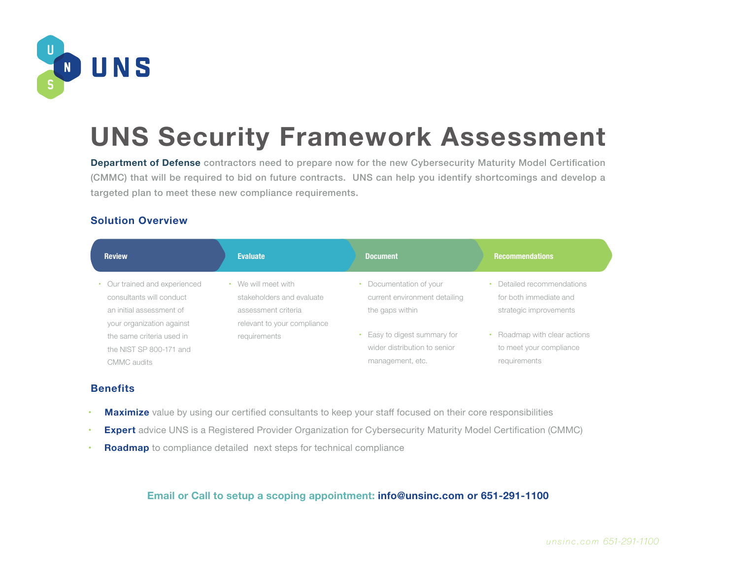

# **UNS Security Framework Assessment**

**Department of Defense** contractors need to prepare now for the new Cybersecurity Maturity Model Certification (CMMC) that will be required to bid on future contracts. UNS can help you identify shortcomings and develop a targeted plan to meet these new compliance requirements.

### **Solution Overview**

| <b>Review</b>                                                                                                    | <b>Evaluate</b>                                                                                                   | <b>Document</b>                                                                | <b>Recommendations</b>                                                         |
|------------------------------------------------------------------------------------------------------------------|-------------------------------------------------------------------------------------------------------------------|--------------------------------------------------------------------------------|--------------------------------------------------------------------------------|
| Our trained and experienced<br>consultants will conduct<br>an initial assessment of<br>your organization against | We will meet with<br>$\bullet$<br>stakeholders and evaluate<br>assessment criteria<br>relevant to your compliance | Documentation of your<br>current environment detailing<br>the gaps within      | • Detailed recommendations<br>for both immediate and<br>strategic improvements |
| the same criteria used in<br>the NIST SP 800-171 and<br>CMMC audits                                              | requirements                                                                                                      | Easy to digest summary for<br>wider distribution to senior<br>management, etc. | • Roadmap with clear actions<br>to meet your compliance<br>requirements        |

#### **Benefits**

- **Maximize** value by using our certified consultants to keep your staff focused on their core responsibilities
- **Expert** advice UNS is a Registered Provider Organization for Cybersecurity Maturity Model Certification (CMMC)
- **Roadmap** to compliance detailed next steps for technical compliance

### **Email or Call to setup a scoping appointment: info@unsinc.com or 651-291-1100**